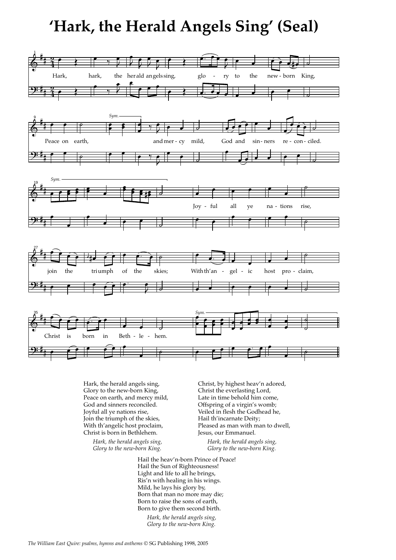## **'Hark, the Herald Angels Sing' (Seal)**



Hark, the herald angels sing, Glory to the new-born King, Peace on earth, and mercy mild, God and sinners reconciled. Joyful all ye nations rise, Join the triumph of the skies, With th'angelic host proclaim, Christ is born in Bethlehem.

> *Hark, the herald angels sing, Glory to the new-born King.*

Christ, by highest heav'n adored, Christ the everlasting Lord, Late in time behold him come, Offspring of a virgin's womb; Veiled in flesh the Godhead he, Hail th'incarnate Deity; Pleased as man with man to dwell, Jesus, our Emmanuel.

> *Hark, the herald angels sing, Glory to the new-born King.*

Hail the heav'n-born Prince of Peace! Hail the Sun of Righteousness! Light and life to all he brings, Ris'n with healing in his wings. Mild, he lays his glory by, Born that man no more may die; Born to raise the sons of earth, Born to give them second birth.

*Hark, the herald angels sing, Glory to the new-born King.*